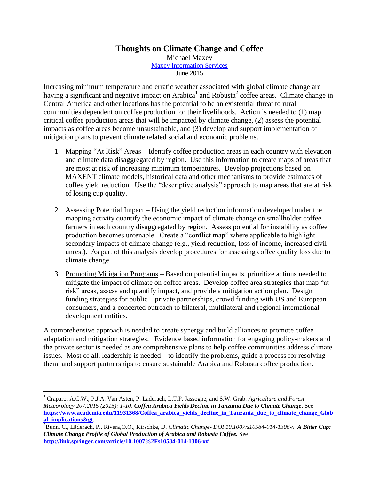## **Thoughts on Climate Change and Coffee**

Michael Maxey [Maxey Information Services](http://www.maxeyinfo.com/) June 2015

Increasing minimum temperature and erratic weather associated with global climate change are having a significant and negative impact on Arabica<sup>1</sup> and Robusta<sup>2</sup> coffee areas. Climate change in Central America and other locations has the potential to be an existential threat to rural communities dependent on coffee production for their livelihoods. Action is needed to (1) map critical coffee production areas that will be impacted by climate change, (2) assess the potential impacts as coffee areas become unsustainable, and (3) develop and support implementation of mitigation plans to prevent climate related social and economic problems.

- 1. Mapping "At Risk" Areas Identify coffee production areas in each country with elevation and climate data disaggregated by region. Use this information to create maps of areas that are most at risk of increasing minimum temperatures. Develop projections based on MAXENT climate models, historical data and other mechanisms to provide estimates of coffee yield reduction. Use the "descriptive analysis" approach to map areas that are at risk of losing cup quality.
- 2. Assessing Potential Impact Using the yield reduction information developed under the mapping activity quantify the economic impact of climate change on smallholder coffee farmers in each country disaggregated by region. Assess potential for instability as coffee production becomes untenable. Create a "conflict map" where applicable to highlight secondary impacts of climate change (e.g., yield reduction, loss of income, increased civil unrest). As part of this analysis develop procedures for assessing coffee quality loss due to climate change.
- 3. Promoting Mitigation Programs Based on potential impacts, prioritize actions needed to mitigate the impact of climate on coffee areas. Develop coffee area strategies that map "at risk" areas, assess and quantify impact, and provide a mitigation action plan. Design funding strategies for public – private partnerships, crowd funding with US and European consumers, and a concerted outreach to bilateral, multilateral and regional international development entities.

A comprehensive approach is needed to create synergy and build alliances to promote coffee adaptation and mitigation strategies. Evidence based information for engaging policy-makers and the private sector is needed as are comprehensive plans to help coffee communities address climate issues. Most of all, leadership is needed – to identify the problems, guide a process for resolving them, and support partnerships to ensure sustainable Arabica and Robusta coffee production.

 $\overline{a}$ 

<sup>1</sup> Craparo, A.C.W., P.J.A. Van Asten, P. Laderach, L.T.P. Jassogne, and S.W. Grab. *Agriculture and Forest Meteorology 207.2015 (2015): 1-10*. *Coffea Arabica Yields Decline in Tanzania Due to Climate Change*. See **[https://www.academia.edu/11931368/Coffea\\_arabica\\_yields\\_decline\\_in\\_Tanzania\\_due\\_to\\_climate\\_change\\_Glob](https://www.academia.edu/11931368/Coffea_arabica_yields_decline_in_Tanzania_due_to_climate_change_Global_implications>) [al\\_implications&g](https://www.academia.edu/11931368/Coffea_arabica_yields_decline_in_Tanzania_due_to_climate_change_Global_implications>)**t.

<sup>2</sup> Bunn, C., Läderach, P., Rivera,O.O., Kirschke, D. *Climatic Change- DOI 10.1007/s10584-014-1306-x A Bitter Cup: Climate Change Profile of Global Production of Arabica and Robusta Coffee.* See **[http://link.springer.com/article/10.1007%2Fs10584-014-1306-x#](http://link.springer.com/article/10.1007%2Fs10584-014-1306-x)**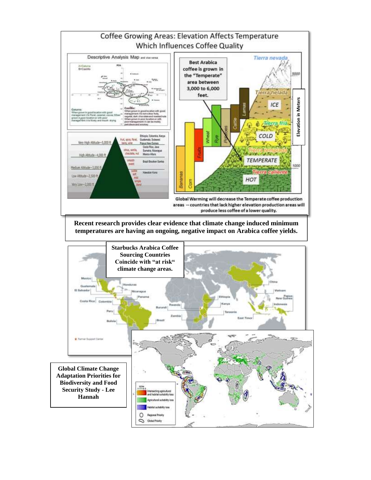